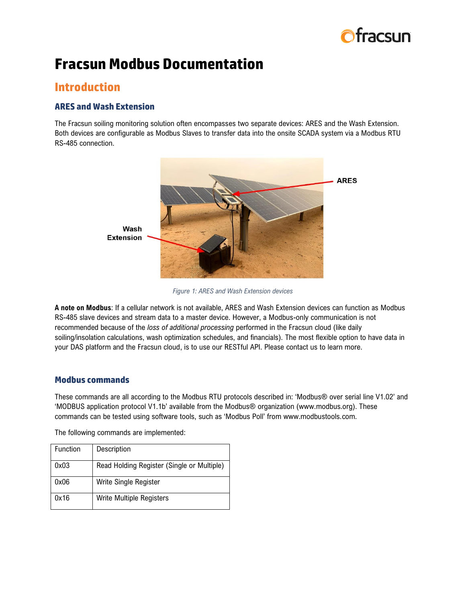

# **Fracsun Modbus Documentation**

# **Introduction**

# **ARES and Wash Extension**

The Fracsun soiling monitoring solution often encompasses two separate devices: ARES and the Wash Extension. Both devices are configurable as Modbus Slaves to transfer data into the onsite SCADA system via a Modbus RTU RS-485 connection.



*Figure 1: ARES and Wash Extension devices*

**A note on Modbus**: If a cellular network is not available, ARES and Wash Extension devices can function as Modbus RS-485 slave devices and stream data to a master device. However, a Modbus-only communication is not recommended because of the *loss of additional processing* performed in the Fracsun cloud (like daily soiling/insolation calculations, wash optimization schedules, and financials). The most flexible option to have data in your DAS platform and the Fracsun cloud, is to use our RESTful API. Please contact us to learn more.

# **Modbus commands**

These commands are all according to the Modbus RTU protocols described in: 'Modbus® over serial line V1.02' and 'MODBUS application protocol V1.1b' available from the Modbus® organization (www.modbus.org). These commands can be tested using software tools, such as 'Modbus Poll' from www.modbustools.com.

The following commands are implemented:

| <b>Function</b> | Description                                |
|-----------------|--------------------------------------------|
| 0x03            | Read Holding Register (Single or Multiple) |
| 0x06            | Write Single Register                      |
| 0x16            | <b>Write Multiple Registers</b>            |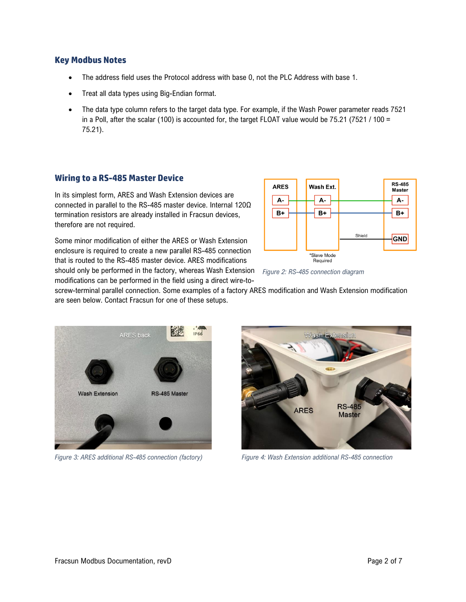#### **Key Modbus Notes**

- The address field uses the Protocol address with base 0, not the PLC Address with base 1.
- Treat all data types using Big-Endian format.
- The data type column refers to the target data type. For example, if the Wash Power parameter reads 7521 in a Poll, after the scalar (100) is accounted for, the target FLOAT value would be  $75.21$  (7521 / 100 = 75.21).

#### **Wiring to a RS-485 Master Device**

In its simplest form, ARES and Wash Extension devices are connected in parallel to the RS-485 master device. Internal 120Ω termination resistors are already installed in Fracsun devices, therefore are not required.





*Figure 2: RS-485 connection diagram*

screw-terminal parallel connection. Some examples of a factory ARES modification and Wash Extension modification are seen below. Contact Fracsun for one of these setups.



*Figure 3: ARES additional RS-485 connection (factory) Figure 4: Wash Extension additional RS-485 connection*

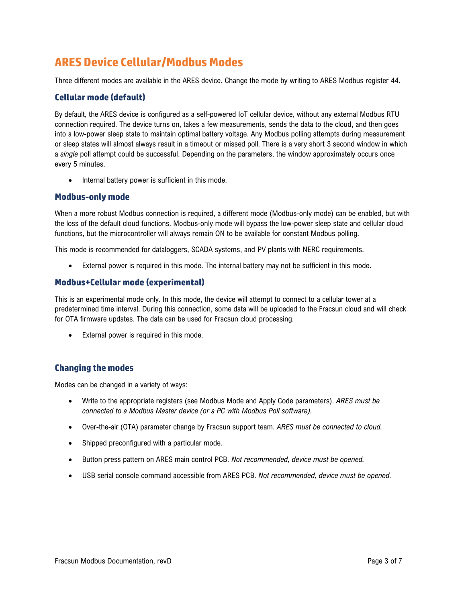# **ARES Device Cellular/Modbus Modes**

Three different modes are available in the ARES device. Change the mode by writing to ARES Modbus register 44.

### **Cellular mode (default)**

By default, the ARES device is configured as a self-powered IoT cellular device, without any external Modbus RTU connection required. The device turns on, takes a few measurements, sends the data to the cloud, and then goes into a low-power sleep state to maintain optimal battery voltage. Any Modbus polling attempts during measurement or sleep states will almost always result in a timeout or missed poll. There is a very short 3 second window in which a *single* poll attempt could be successful. Depending on the parameters, the window approximately occurs once every 5 minutes.

Internal battery power is sufficient in this mode.

#### **Modbus-only mode**

When a more robust Modbus connection is required, a different mode (Modbus-only mode) can be enabled, but with the loss of the default cloud functions. Modbus-only mode will bypass the low-power sleep state and cellular cloud functions, but the microcontroller will always remain ON to be available for constant Modbus polling.

This mode is recommended for dataloggers, SCADA systems, and PV plants with NERC requirements.

• External power is required in this mode. The internal battery may not be sufficient in this mode.

#### **Modbus+Cellular mode (experimental)**

This is an experimental mode only. In this mode, the device will attempt to connect to a cellular tower at a predetermined time interval. During this connection, some data will be uploaded to the Fracsun cloud and will check for OTA firmware updates. The data can be used for Fracsun cloud processing.

External power is required in this mode.

#### **Changing the modes**

Modes can be changed in a variety of ways:

- Write to the appropriate registers (see Modbus Mode and Apply Code parameters). *ARES must be connected to a Modbus Master device (or a PC with Modbus Poll software).*
- Over-the-air (OTA) parameter change by Fracsun support team. *ARES must be connected to cloud.*
- Shipped preconfigured with a particular mode.
- Button press pattern on ARES main control PCB. *Not recommended, device must be opened.*
- USB serial console command accessible from ARES PCB. *Not recommended, device must be opened.*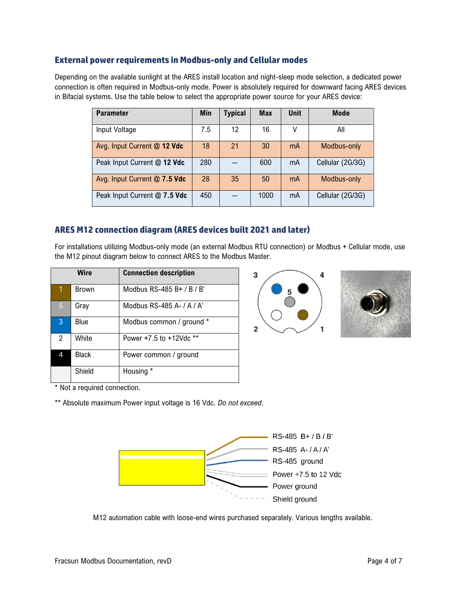#### **External power requirements in Modbus-only and Cellular modes**

Depending on the available sunlight at the ARES install location and night-sleep mode selection, a dedicated power connection is often required in Modbus-only mode. Power is absolutely required for downward facing ARES devices in Bifacial systems. Use the table below to select the appropriate power source for your ARES device:

| <b>Parameter</b>             | <b>Min</b> | <b>Typical</b> | <b>Max</b> | Unit | <b>Mode</b>      |
|------------------------------|------------|----------------|------------|------|------------------|
| Input Voltage                | 7.5        | 12             | 16         | ٧    | All              |
| Avg. Input Current @ 12 Vdc  | 18         | 21             | 30         | mA   | Modbus-only      |
| Peak Input Current @ 12 Vdc  | 280        |                | 600        | mA   | Cellular (2G/3G) |
| Avg. Input Current @ 7.5 Vdc | 28         | 35             | 50         | mA   | Modbus-only      |
| Peak Input Current @ 7.5 Vdc | 450        |                | 1000       | mA   | Cellular (2G/3G) |

### **ARES M12 connection diagram (ARES devices built 2021 and later)**

For installations utilizing Modbus-only mode (an external Modbus RTU connection) or Modbus + Cellular mode, use the M12 pinout diagram below to connect ARES to the Modbus Master.

|                | Wire         | <b>Connection description</b> |
|----------------|--------------|-------------------------------|
| 1              | Brown        | Modbus RS-485 B+ / B / B'     |
| 5              | Gray         | Modbus RS-485 A- / A / A'     |
| 3              | Blue         | Modbus common / ground *      |
| $\overline{2}$ | White        | Power +7.5 to +12Vdc **       |
| 4              | <b>Black</b> | Power common / ground         |
|                | Shield       | Housing *                     |





\* Not a required connection.

\*\* Absolute maximum Power input voltage is 16 Vdc. *Do not exceed*.



M12 automation cable with loose-end wires purchased separately. Various lengths available.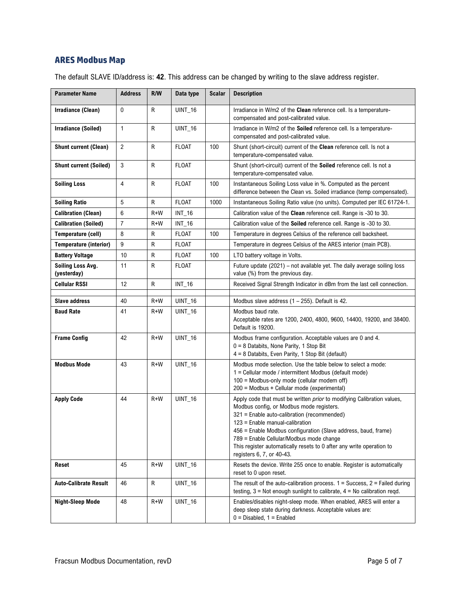# **ARES Modbus Map**

The default SLAVE ID/address is: **42**. This address can be changed by writing to the slave address register.

| <b>Parameter Name</b>            | <b>Address</b> | R/W   | Data type      | <b>Scalar</b> | <b>Description</b>                                                                                                                                                                                                                                                                                                                                                                                                             |
|----------------------------------|----------------|-------|----------------|---------------|--------------------------------------------------------------------------------------------------------------------------------------------------------------------------------------------------------------------------------------------------------------------------------------------------------------------------------------------------------------------------------------------------------------------------------|
| Irradiance (Clean)               | $\mathbf 0$    | R     | <b>UINT_16</b> |               | Irradiance in W/m2 of the Clean reference cell. Is a temperature-<br>compensated and post-calibrated value.                                                                                                                                                                                                                                                                                                                    |
| <b>Irradiance (Soiled)</b>       | 1              | R     | <b>UINT_16</b> |               | Irradiance in W/m2 of the Soiled reference cell. Is a temperature-<br>compensated and post-calibrated value.                                                                                                                                                                                                                                                                                                                   |
| <b>Shunt current (Clean)</b>     | $\overline{2}$ | R     | <b>FLOAT</b>   | 100           | Shunt (short-circuit) current of the Clean reference cell. Is not a<br>temperature-compensated value.                                                                                                                                                                                                                                                                                                                          |
| <b>Shunt current (Soiled)</b>    | 3              | R     | <b>FLOAT</b>   |               | Shunt (short-circuit) current of the Soiled reference cell. Is not a<br>temperature-compensated value.                                                                                                                                                                                                                                                                                                                         |
| <b>Soiling Loss</b>              | 4              | R     | FLOAT          | 100           | Instantaneous Soiling Loss value in %. Computed as the percent<br>difference between the Clean vs. Soiled irradiance (temp compensated).                                                                                                                                                                                                                                                                                       |
| <b>Soiling Ratio</b>             | 5              | R     | <b>FLOAT</b>   | 1000          | Instantaneous Soiling Ratio value (no units). Computed per IEC 61724-1.                                                                                                                                                                                                                                                                                                                                                        |
| <b>Calibration (Clean)</b>       | 6              | $R+W$ | $INT_16$       |               | Calibration value of the Clean reference cell. Range is -30 to 30.                                                                                                                                                                                                                                                                                                                                                             |
| <b>Calibration (Soiled)</b>      | $\overline{7}$ | $R+W$ | $INT_16$       |               | Calibration value of the Soiled reference cell. Range is -30 to 30.                                                                                                                                                                                                                                                                                                                                                            |
| Temperature (cell)               | 8              | R     | <b>FLOAT</b>   | 100           | Temperature in degrees Celsius of the reference cell backsheet.                                                                                                                                                                                                                                                                                                                                                                |
| <b>Temperature (interior)</b>    | 9              | R     | <b>FLOAT</b>   |               | Temperature in degrees Celsius of the ARES interior (main PCB).                                                                                                                                                                                                                                                                                                                                                                |
| <b>Battery Voltage</b>           | 10             | R     | <b>FLOAT</b>   | 100           | LTO battery voltage in Volts.                                                                                                                                                                                                                                                                                                                                                                                                  |
| Soiling Loss Avg.<br>(yesterday) | 11             | R     | <b>FLOAT</b>   |               | Future update (2021) - not available yet. The daily average soiling loss<br>value (%) from the previous day.                                                                                                                                                                                                                                                                                                                   |
| <b>Cellular RSSI</b>             | 12             | R     | $INT_16$       |               | Received Signal Strength Indicator in dBm from the last cell connection.                                                                                                                                                                                                                                                                                                                                                       |
|                                  |                |       |                |               |                                                                                                                                                                                                                                                                                                                                                                                                                                |
| <b>Slave address</b>             | 40             | $R+W$ | <b>UINT_16</b> |               | Modbus slave address $(1 - 255)$ . Default is 42.                                                                                                                                                                                                                                                                                                                                                                              |
| <b>Baud Rate</b>                 | 41             | R+W   | <b>UINT_16</b> |               | Modbus baud rate.<br>Acceptable rates are 1200, 2400, 4800, 9600, 14400, 19200, and 38400.<br>Default is 19200.                                                                                                                                                                                                                                                                                                                |
| <b>Frame Config</b>              | 42             | $R+W$ | $UINT_16$      |               | Modbus frame configuration. Acceptable values are 0 and 4.<br>0 = 8 Databits, None Parity, 1 Stop Bit<br>4 = 8 Databits, Even Parity, 1 Stop Bit (default)                                                                                                                                                                                                                                                                     |
| <b>Modbus Mode</b>               | 43             | $R+W$ | <b>UINT_16</b> |               | Modbus mode selection. Use the table below to select a mode:<br>1 = Cellular mode / intermittent Modbus (default mode)<br>100 = Modbus-only mode (cellular modem off)<br>200 = Modbus + Cellular mode (experimental)                                                                                                                                                                                                           |
| <b>Apply Code</b>                | 44             | $R+W$ | <b>UINT_16</b> |               | Apply code that must be written <i>prior</i> to modifying Calibration values,<br>Modbus config, or Modbus mode registers.<br>321 = Enable auto-calibration (recommended)<br>123 = Enable manual-calibration<br>456 = Enable Modbus configuration (Slave address, baud, frame)<br>789 = Enable Cellular/Modbus mode change<br>This register automatically resets to 0 after any write operation to<br>registers 6, 7, or 40-43. |
| Reset                            | 45             | $R+W$ | <b>UINT_16</b> |               | Resets the device. Write 255 once to enable. Register is automatically<br>reset to 0 upon reset.                                                                                                                                                                                                                                                                                                                               |
| <b>Auto-Calibrate Result</b>     | 46             | R     | <b>UINT_16</b> |               | The result of the auto-calibration process. $1 =$ Success, $2 =$ Failed during<br>testing, $3 =$ Not enough sunlight to calibrate, $4 =$ No calibration regd.                                                                                                                                                                                                                                                                  |
| <b>Night-Sleep Mode</b>          | 48             | $R+W$ | <b>UINT_16</b> |               | Enables/disables night-sleep mode. When enabled, ARES will enter a<br>deep sleep state during darkness. Acceptable values are:<br>$0 = Disabled, 1 = Enabled$                                                                                                                                                                                                                                                                  |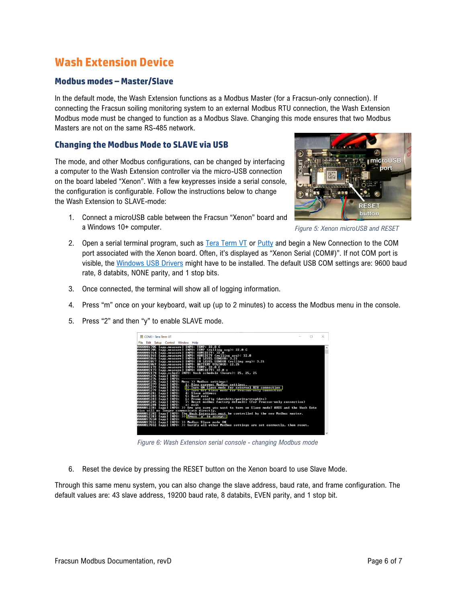# **Wash Extension Device**

# **Modbus modes – Master/Slave**

In the default mode, the Wash Extension functions as a Modbus Master (for a Fracsun-only connection). If connecting the Fracsun soiling monitoring system to an external Modbus RTU connection, the Wash Extension Modbus mode must be changed to function as a Modbus Slave. Changing this mode ensures that two Modbus Masters are not on the same RS-485 network.

### **Changing the Modbus Mode to SLAVE via USB**

The mode, and other Modbus configurations, can be changed by interfacing a computer to the Wash Extension controller via the micro-USB connection on the board labeled "Xenon". With a few keypresses inside a serial console, the configuration is configurable. Follow the instructions below to change the Wash Extension to SLAVE-mode:

1. Connect a microUSB cable between the Fracsun "Xenon" board and a Windows 10+ computer.



*Figure 5: Xenon microUSB and RESET*

- 2. Open a serial terminal program, such as [Tera Term VT](https://osdn.net/projects/ttssh2/releases/) or [Putty](https://www.putty.org/) and begin a New Connection to the COM port associated with the Xenon board. Often, it's displayed as "Xenon Serial (COM#)". If not COM port is visible, the [Windows USB Drivers](https://binaries.particle.io/drivers/windows/particle_drivers.exe) might have to be installed. The default USB COM settings are: 9600 baud rate, 8 databits, NONE parity, and 1 stop bits.
- 3. Once connected, the terminal will show all of logging information.
- 4. Press "m" once on your keyboard, wait up (up to 2 minutes) to access the Modbus menu in the console.
- 5. Press "2" and then "y" to enable SLAVE mode.



*Figure 6: Wash Extension serial console - changing Modbus mode*

6. Reset the device by pressing the RESET button on the Xenon board to use Slave Mode.

Through this same menu system, you can also change the slave address, baud rate, and frame configuration. The default values are: 43 slave address, 19200 baud rate, 8 databits, EVEN parity, and 1 stop bit.